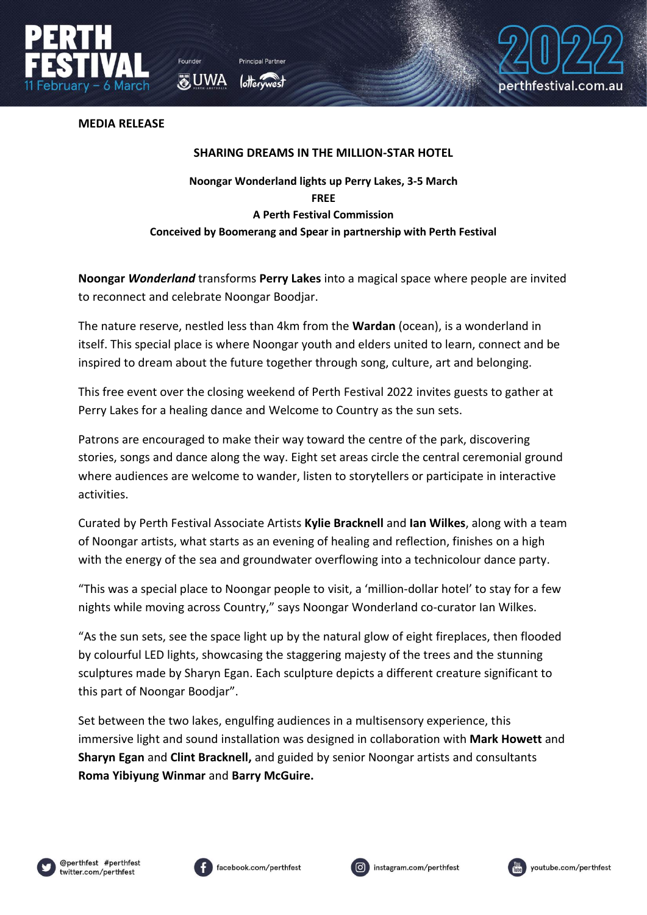

**O** UWA



**MEDIA RELEASE**

## **SHARING DREAMS IN THE MILLION-STAR HOTEL**

## **Noongar Wonderland lights up Perry Lakes, 3-5 March FREE A Perth Festival Commission Conceived by Boomerang and Spear in partnership with Perth Festival**

**Noongar** *Wonderland* transforms **Perry Lakes** into a magical space where people are invited to reconnect and celebrate Noongar Boodjar.

The nature reserve, nestled less than 4km from the **Wardan** (ocean), is a wonderland in itself. This special place is where Noongar youth and elders united to learn, connect and be inspired to dream about the future together through song, culture, art and belonging.

This free event over the closing weekend of Perth Festival 2022 invites guests to gather at Perry Lakes for a healing dance and Welcome to Country as the sun sets.

Patrons are encouraged to make their way toward the centre of the park, discovering stories, songs and dance along the way. Eight set areas circle the central ceremonial ground where audiences are welcome to wander, listen to storytellers or participate in interactive activities.

Curated by Perth Festival Associate Artists **Kylie Bracknell** and **Ian Wilkes**, along with a team of Noongar artists, what starts as an evening of healing and reflection, finishes on a high with the energy of the sea and groundwater overflowing into a technicolour dance party.

"This was a special place to Noongar people to visit, a 'million-dollar hotel' to stay for a few nights while moving across Country," says Noongar Wonderland co-curator Ian Wilkes.

"As the sun sets, see the space light up by the natural glow of eight fireplaces, then flooded by colourful LED lights, showcasing the staggering majesty of the trees and the stunning sculptures made by Sharyn Egan. Each sculpture depicts a different creature significant to this part of Noongar Boodjar".

Set between the two lakes, engulfing audiences in a multisensory experience, this immersive light and sound installation was designed in collaboration with **Mark Howett** and **Sharyn Egan** and **Clint Bracknell,** and guided by senior Noongar artists and consultants **Roma Yibiyung Winmar** and **Barry McGuire.**